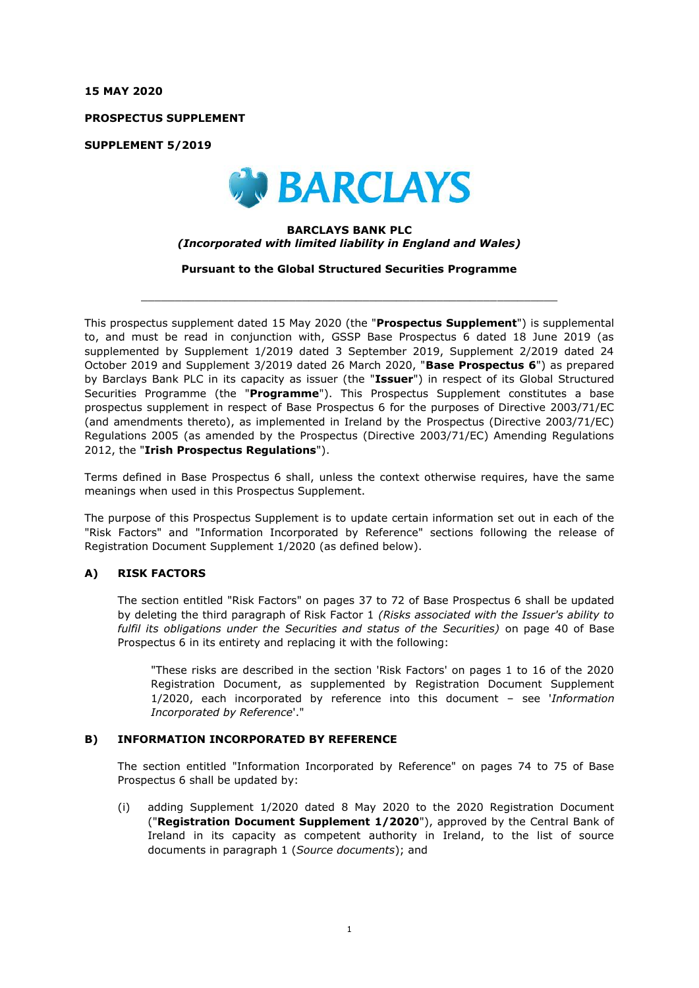**15 MAY 2020**

**PROSPECTUS SUPPLEMENT**

**SUPPLEMENT 5/2019**



## **BARCLAYS BANK PLC** *(Incorporated with limited liability in England and Wales)*

**Pursuant to the Global Structured Securities Programme**

 $\_$  , and the set of the set of the set of the set of the set of the set of the set of the set of the set of the set of the set of the set of the set of the set of the set of the set of the set of the set of the set of th

This prospectus supplement dated 15 May 2020 (the "**Prospectus Supplement**") is supplemental to, and must be read in conjunction with, GSSP Base Prospectus 6 dated 18 June 2019 (as supplemented by Supplement 1/2019 dated 3 September 2019, Supplement 2/2019 dated 24 October 2019 and Supplement 3/2019 dated 26 March 2020, "**Base Prospectus 6**") as prepared by Barclays Bank PLC in its capacity as issuer (the "**Issuer**") in respect of its Global Structured Securities Programme (the "**Programme**"). This Prospectus Supplement constitutes a base prospectus supplement in respect of Base Prospectus 6 for the purposes of Directive 2003/71/EC (and amendments thereto), as implemented in Ireland by the Prospectus (Directive 2003/71/EC) Regulations 2005 (as amended by the Prospectus (Directive 2003/71/EC) Amending Regulations 2012, the "**Irish Prospectus Regulations**").

Terms defined in Base Prospectus 6 shall, unless the context otherwise requires, have the same meanings when used in this Prospectus Supplement.

The purpose of this Prospectus Supplement is to update certain information set out in each of the "Risk Factors" and "Information Incorporated by Reference" sections following the release of Registration Document Supplement 1/2020 (as defined below).

## **A) RISK FACTORS**

The section entitled "Risk Factors" on pages 37 to 72 of Base Prospectus 6 shall be updated by deleting the third paragraph of Risk Factor 1 *(Risks associated with the Issuer's ability to fulfil its obligations under the Securities and status of the Securities)* on page 40 of Base Prospectus 6 in its entirety and replacing it with the following:

"These risks are described in the section 'Risk Factors' on pages 1 to 16 of the 2020 Registration Document, as supplemented by Registration Document Supplement 1/2020, each incorporated by reference into this document – see '*Information Incorporated by Reference*'."

## **B) INFORMATION INCORPORATED BY REFERENCE**

The section entitled "Information Incorporated by Reference" on pages 74 to 75 of Base Prospectus 6 shall be updated by:

(i) adding Supplement 1/2020 dated 8 May 2020 to the 2020 Registration Document ("**Registration Document Supplement 1/2020**"), approved by the Central Bank of Ireland in its capacity as competent authority in Ireland, to the list of source documents in paragraph 1 (*Source documents*); and